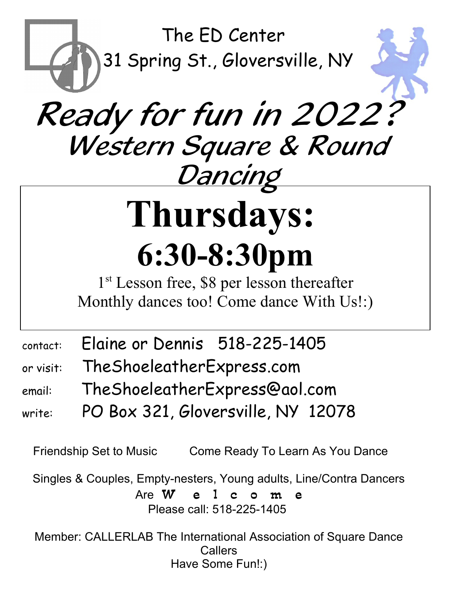

# Ready for fun in 2022? Western Square & Round <u>Dancing</u>

# **Thursdays: 6:30-8:30pm**

1<sup>st</sup> Lesson free, \$8 per lesson thereafter Monthly dances too! Come dance With Us!:)

|  | contact: Elaine or Dennis 518-225-1405 |  |
|--|----------------------------------------|--|
|--|----------------------------------------|--|

- or visit: TheShoeleatherExpress.com
- email: TheShoeleatherExpress@aol.com
- write: PO Box 321, Gloversville, NY 12078

Friendship Set to Music Come Ready To Learn As You Dance

Singles & Couples, Empty-nesters, Young adults, Line/Contra Dancers Are W e l c o m e Please call: 518-225-1405

Member: CALLERLAB The International Association of Square Dance **Callers** Have Some Fun!:)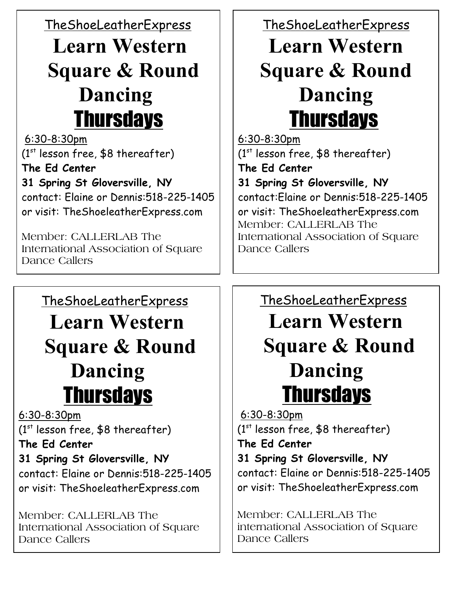TheShoeLeatherExpress

# **Learn Western Square & Round Dancing Thursdays**

 6:30-8:30pm (1 $^{\rm st}$  lesson free, \$8 thereafter) **The Ed Center 31 Spring St Gloversville, NY** contact: Elaine or Dennis:518-225-1405 or visit: TheShoeleatherExpress.com

Member: CALLERLAB The International Association of Square Dance Callers

## TheShoeLeatherExpress

 **Learn Western Square & Round Dancing** Thursdays

6:30-8:30pm

(1 $^{\rm st}$  lesson free, \$8 thereafter)

#### **The Ed Center 31 Spring St Gloversville, NY**

contact: Elaine or Dennis:518-225-1405 or visit: TheShoeleatherExpress.com

Member: CALLERLAB The International Association of Square Dance Callers

## TheShoeLeatherExpress

## **Learn Western Square & Round Dancing Thursdays**

6:30-8:30pm (1 $^{\rm st}$  lesson free, \$8 thereafter) **The Ed Center 31 Spring St Gloversville, NY** contact:Elaine or Dennis:518-225-1405 or visit: TheShoeleatherExpress.com Member: CALLERLAB The International Association of Square Dance Callers

### TheShoeLeatherExpress

 **Learn Western Square & Round Dancing Thursdays** 

 6:30-8:30pm (1 $^{\rm st}$  lesson free, \$8 thereafter) **The Ed Center 31 Spring St Gloversville, NY** contact: Elaine or Dennis:518-225-1405 or visit: TheShoeleatherExpress.com

Member: CALLERLAB The international Association of Square Dance Callers